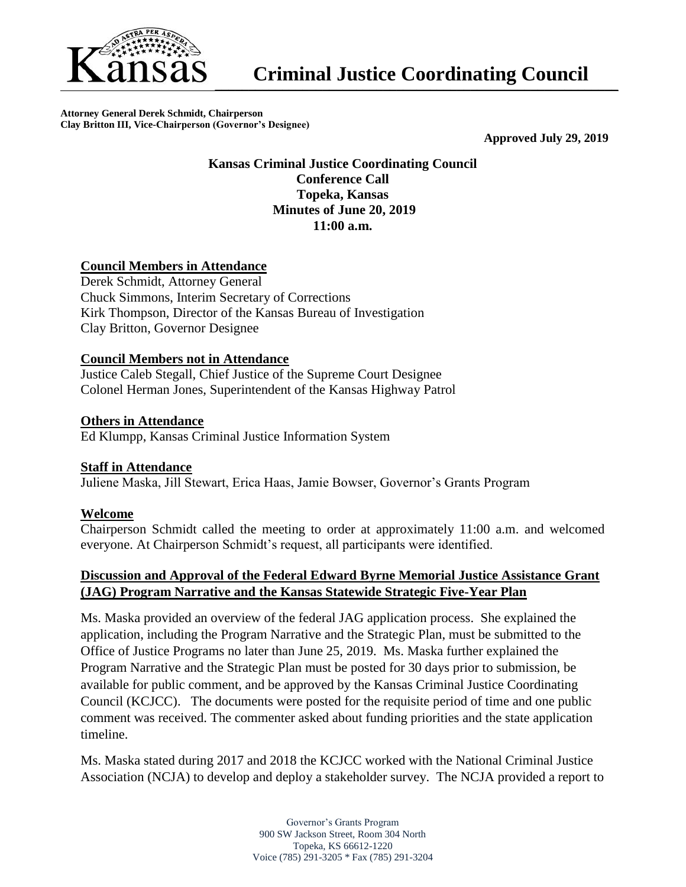

**Attorney General Derek Schmidt, Chairperson Clay Britton III, Vice-Chairperson (Governor's Designee)**

**Approved July 29, 2019**

# **Kansas Criminal Justice Coordinating Council Conference Call Topeka, Kansas Minutes of June 20, 2019 11:00 a.m.**

# **Council Members in Attendance**

Derek Schmidt, Attorney General Chuck Simmons, Interim Secretary of Corrections Kirk Thompson, Director of the Kansas Bureau of Investigation Clay Britton, Governor Designee

## **Council Members not in Attendance**

Justice Caleb Stegall, Chief Justice of the Supreme Court Designee Colonel Herman Jones, Superintendent of the Kansas Highway Patrol

## **Others in Attendance**

Ed Klumpp, Kansas Criminal Justice Information System

#### **Staff in Attendance**

Juliene Maska, Jill Stewart, Erica Haas, Jamie Bowser, Governor's Grants Program

# **Welcome**

Chairperson Schmidt called the meeting to order at approximately 11:00 a.m. and welcomed everyone. At Chairperson Schmidt's request, all participants were identified.

# **Discussion and Approval of the Federal Edward Byrne Memorial Justice Assistance Grant (JAG) Program Narrative and the Kansas Statewide Strategic Five-Year Plan**

Ms. Maska provided an overview of the federal JAG application process. She explained the application, including the Program Narrative and the Strategic Plan, must be submitted to the Office of Justice Programs no later than June 25, 2019. Ms. Maska further explained the Program Narrative and the Strategic Plan must be posted for 30 days prior to submission, be available for public comment, and be approved by the Kansas Criminal Justice Coordinating Council (KCJCC). The documents were posted for the requisite period of time and one public comment was received. The commenter asked about funding priorities and the state application timeline.

Ms. Maska stated during 2017 and 2018 the KCJCC worked with the National Criminal Justice Association (NCJA) to develop and deploy a stakeholder survey. The NCJA provided a report to

> Governor's Grants Program 900 SW Jackson Street, Room 304 North Topeka, KS 66612-1220 Voice (785) 291-3205 \* Fax (785) 291-3204